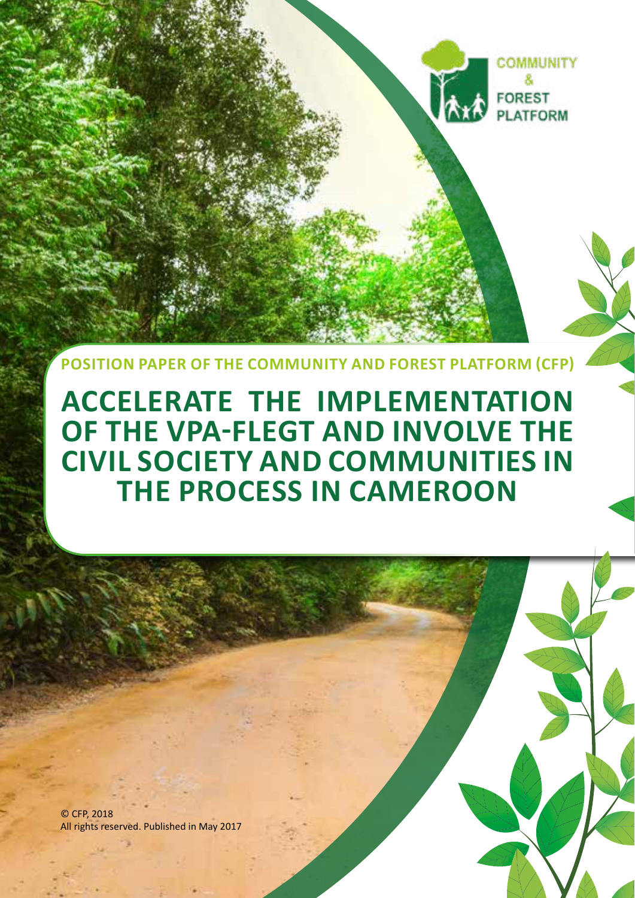

**COMMUNITY** 

**FOREST PLATFORM** 

**POSITION PAPER OF THE COMMUNITY AND FOREST PLATFORM (CFP)**

**ACCELERATE THE IMPLEMENTATION OF THE VPA-FLEGT AND INVOLVE THE CIVIL SOCIETY AND COMMUNITIES IN THE PROCESS IN CAMEROON** 

**1**

© CFP, 2018 All rights reserved. Published in May 2017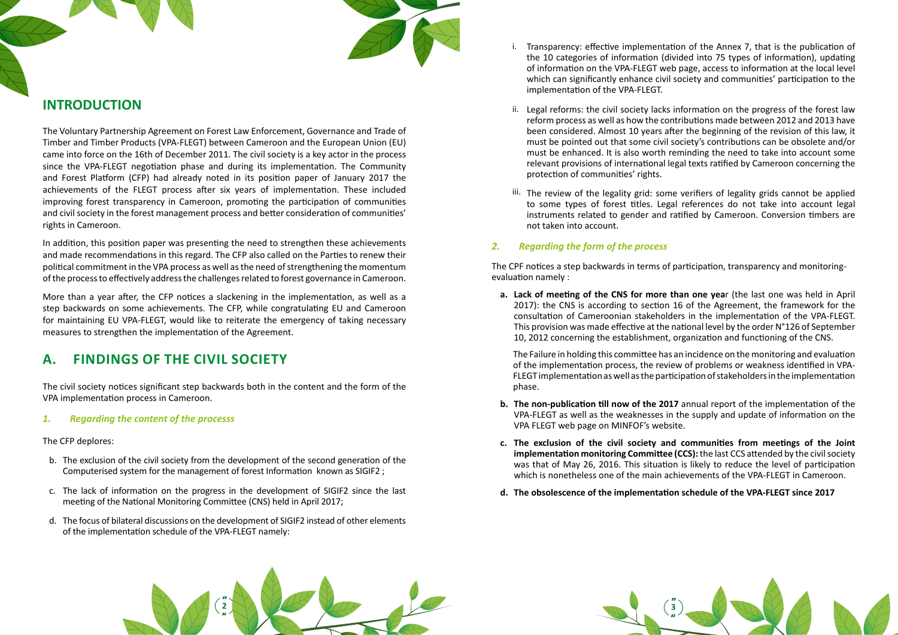



# **INTRODUCTION**

The Voluntary Partnership Agreement on Forest Law Enforcement, Governance and Trade of Timber and Timber Products (VPA-FLEGT) between Cameroon and the European Union (EU) came into force on the 16th of December 2011. The civil society is a key actor in the process since the VPA-FLEGT negotiation phase and during its implementation. The Community and Forest Platform (CFP) had already noted in its position paper of January 2017 the achievements of the FLEGT process after six years of implementation. These included improving forest transparency in Cameroon, promoting the participation of communities and civil society in the forest management process and better consideration of communities' rights in Cameroon.

In addition, this position paper was presenting the need to strengthen these achievements and made recommendations in this regard. The CFP also called on the Parties to renew their political commitment in the VPA process as well as the need of strengthening the momentum of the process to effectively address the challenges related to forest governance in Cameroon.

i. Transparency: effective implementation of the Annex 7, that is the publication of the 10 categories of information (divided into 75 types of information), updating of information on the VPA-FLEGT web page, access to information at the local level which can significantly enhance civil society and communities' participation to the

More than a year after, the CFP notices a slackening in the implementation, as well as a step backwards on some achievements. The CFP, while congratulating EU and Cameroon for maintaining EU VPA-FLEGT, would like to reiterate the emergency of taking necessary measures to strengthen the implementation of the Agreement.

# **A. FINDINGS OF THE CIVIL SOCIETY**

ii. Legal reforms: the civil society lacks information on the progress of the forest law reform process as well as how the contributions made between 2012 and 2013 have been considered. Almost 10 years after the beginning of the revision of this law, it must be pointed out that some civil society's contributions can be obsolete and/or must be enhanced. It is also worth reminding the need to take into account some relevant provisions of international legal texts ratified by Cameroon concerning the

The civil society notices significant step backwards both in the content and the form of the VPA implementation process in Cameroon.

### *1. Regarding the content of the processs*

The CFP deplores:

iii. The review of the legality grid: some verifiers of legality grids cannot be applied to some types of forest titles. Legal references do not take into account legal instruments related to gender and ratified by Cameroon. Conversion timbers are

- b. The exclusion of the civil society from the development of the second generation of the Computerised system for the management of forest Information known as SIGIF2 ;
- c. The lack of information on the progress in the development of SIGIF2 since the last meeting of the National Monitoring Committee (CNS) held in April 2017;
- d. The focus of bilateral discussions on the development of SIGIF2 instead of other elements of the implementation schedule of the VPA-FLEGT namely:
- implementation of the VPA-FLEGT.
- protection of communities' rights.
- not taken into account.

### *2. Regarding the form of the process*

The CPF notices a step backwards in terms of participation, transparency and monitoringevaluation namely :

**a. Lack of meeting of the CNS for more than one yea**r (the last one was held in April 10, 2012 concerning the establishment, organization and functioning of the CNS.

2017): the CNS is according to section 16 of the Agreement, the framework for the consultation of Cameroonian stakeholders in the implementation of the VPA-FLEGT. This provision was made effective at the national level by the order N°126 of September

The Failure in holding this committee has an incidence on the monitoring and evaluation of the implementation process, the review of problems or weakness identified in VPA-FLEGT implementation as well as the participation of stakeholders in the implementation phase.

**b. The non-publication till now of the 2017** annual report of the implementation of the VPA-FLEGT as well as the weaknesses in the supply and update of information on the

- VPA FLEGT web page on MINFOF's website.
- **c. The exclusion of the civil society and communities from meetings of the Joint**
- **d. The obsolescence of the implementation schedule of the VPA-FLEGT since 2017**

**implementation monitoring Committee (CCS):** the last CCS attended by the civil society was that of May 26, 2016. This situation is likely to reduce the level of participation which is nonetheless one of the main achievements of the VPA-FLEGT in Cameroon.

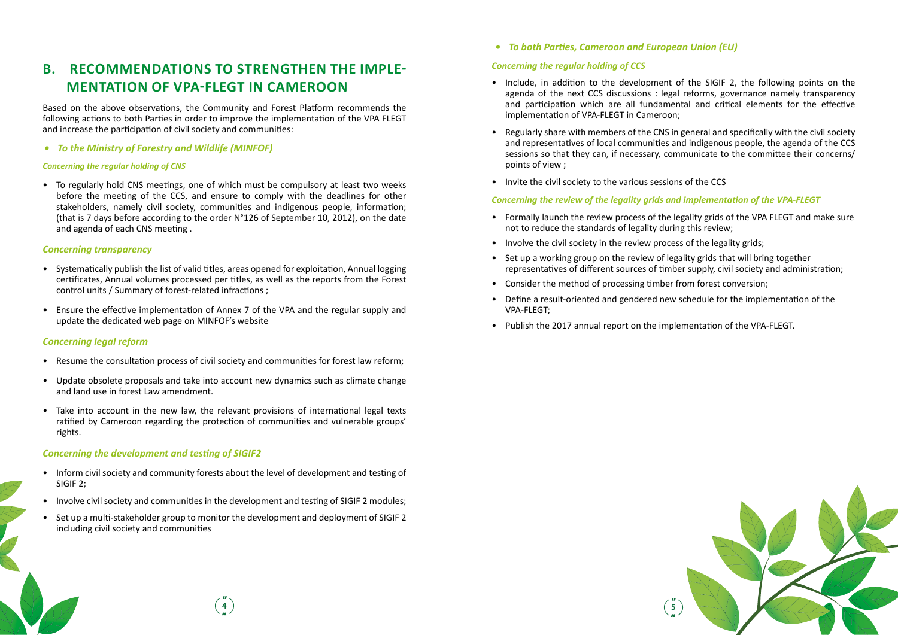# **B. RECOMMENDATIONS TO STRENGTHEN THE IMPLE-MENTATION OF VPA-FLEGT IN CAMEROON**

Based on the above observations, the Community and Forest Platform recommends the following actions to both Parties in order to improve the implementation of the VPA FLEGT and increase the participation of civil society and communities:

*• To the Ministry of Forestry and Wildlife (MINFOF)*

#### *Concerning the regular holding of CNS*

• To regularly hold CNS meetings, one of which must be compulsory at least two weeks before the meeting of the CCS, and ensure to comply with the deadlines for other stakeholders, namely civil society, communities and indigenous people, information; (that is 7 days before according to the order N°126 of September 10, 2012), on the date and agenda of each CNS meeting .

#### *Concerning transparency*

- Systematically publish the list of valid titles, areas opened for exploitation, Annual logging certificates, Annual volumes processed per titles, as well as the reports from the Forest control units / Summary of forest-related infractions ;
- Ensure the effective implementation of Annex 7 of the VPA and the regular supply and update the dedicated web page on MINFOF's website

### *Concerning legal reform*

- Resume the consultation process of civil society and communities for forest law reform;
- Update obsolete proposals and take into account new dynamics such as climate change and land use in forest Law amendment.
- Take into account in the new law, the relevant provisions of international legal texts ratified by Cameroon regarding the protection of communities and vulnerable groups' rights.

#### *Concerning the development and testing of SIGIF2*

- Inform civil society and community forests about the level of development and testing of SIGIF 2;
- Involve civil society and communities in the development and testing of SIGIF 2 modules;
- Set up a multi-stakeholder group to monitor the development and deployment of SIGIF 2 including civil society and communities

# *• To both Parties, Cameroon and European Union (EU)*

#### *Concerning the regular holding of CCS*

agenda of the next CCS discussions : legal reforms, governance namely transparency and participation which are all fundamental and critical elements for the effective

- Include, in addition to the development of the SIGIF 2, the following points on the implementation of VPA-FLEGT in Cameroon;
- Regularly share with members of the CNS in general and specifically with the civil society points of view ;
- Invite the civil society to the various sessions of the CCS

and representatives of local communities and indigenous people, the agenda of the CCS sessions so that they can, if necessary, communicate to the committee their concerns/



## *Concerning the review of the legality grids and implementation of the VPA-FLEGT*

- Formally launch the review process of the legality grids of the VPA FLEGT and make sure not to reduce the standards of legality during this review;
- Involve the civil society in the review process of the legality grids;
- Set up a working group on the review of legality grids that will bring together representatives of different sources of timber supply, civil society and administration;
- Consider the method of processing timber from forest conversion;
- Define a result-oriented and gendered new schedule for the implementation of the VPA-FLEGT;
- Publish the 2017 annual report on the implementation of the VPA-FLEGT.